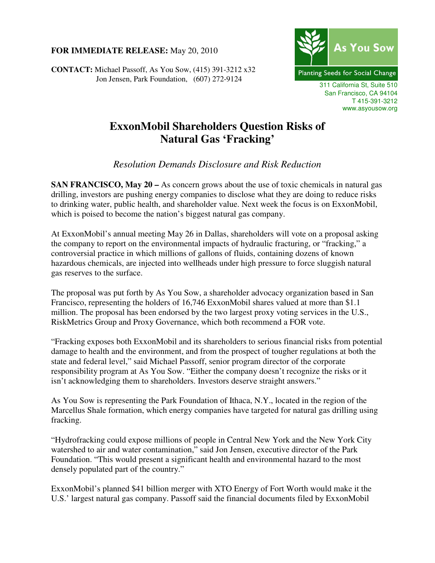## **FOR IMMEDIATE RELEASE:** May 20, 2010

**CONTACT:** Michael Passoff, As You Sow, (415) 391-3212 x32 Jon Jensen, Park Foundation, (607) 272-9124



311 California St, Suite 510 San Francisco, CA 94104 T 415-391-3212 www.asyousow.org

## **ExxonMobil Shareholders Question Risks of Natural Gas 'Fracking'**

*Resolution Demands Disclosure and Risk Reduction* 

**SAN FRANCISCO, May 20 –** As concern grows about the use of toxic chemicals in natural gas drilling, investors are pushing energy companies to disclose what they are doing to reduce risks to drinking water, public health, and shareholder value. Next week the focus is on ExxonMobil, which is poised to become the nation's biggest natural gas company.

At ExxonMobil's annual meeting May 26 in Dallas, shareholders will vote on a proposal asking the company to report on the environmental impacts of hydraulic fracturing, or "fracking," a controversial practice in which millions of gallons of fluids, containing dozens of known hazardous chemicals, are injected into wellheads under high pressure to force sluggish natural gas reserves to the surface.

The proposal was put forth by As You Sow, a shareholder advocacy organization based in San Francisco, representing the holders of 16,746 ExxonMobil shares valued at more than \$1.1 million. The proposal has been endorsed by the two largest proxy voting services in the U.S., RiskMetrics Group and Proxy Governance, which both recommend a FOR vote.

"Fracking exposes both ExxonMobil and its shareholders to serious financial risks from potential damage to health and the environment, and from the prospect of tougher regulations at both the state and federal level," said Michael Passoff, senior program director of the corporate responsibility program at As You Sow. "Either the company doesn't recognize the risks or it isn't acknowledging them to shareholders. Investors deserve straight answers."

As You Sow is representing the Park Foundation of Ithaca, N.Y., located in the region of the Marcellus Shale formation, which energy companies have targeted for natural gas drilling using fracking.

"Hydrofracking could expose millions of people in Central New York and the New York City watershed to air and water contamination," said Jon Jensen, executive director of the Park Foundation. "This would present a significant health and environmental hazard to the most densely populated part of the country."

ExxonMobil's planned \$41 billion merger with XTO Energy of Fort Worth would make it the U.S.' largest natural gas company. Passoff said the financial documents filed by ExxonMobil